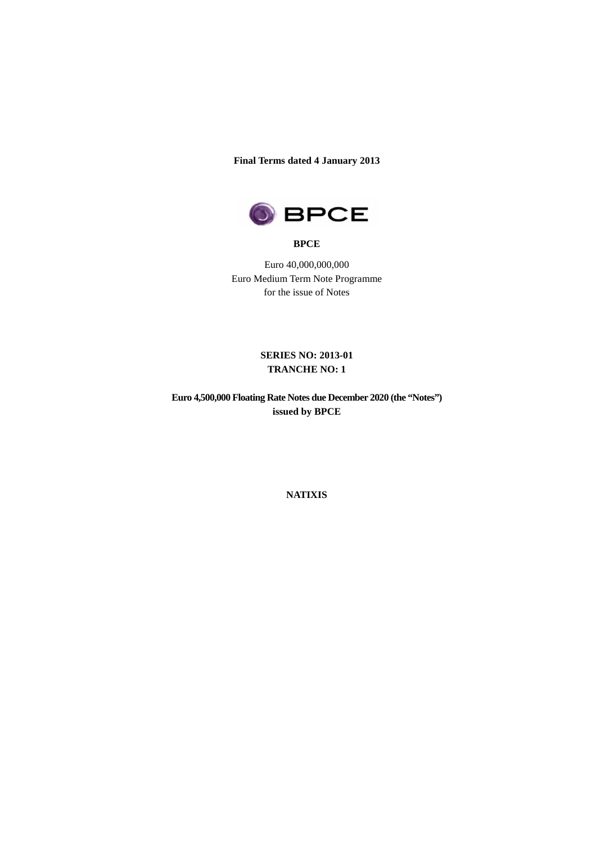**Final Terms dated 4 January 2013** 



#### **BPCE**

Euro 40,000,000,000 Euro Medium Term Note Programme for the issue of Notes

## **SERIES NO: 2013-01 TRANCHE NO: 1**

**Euro 4,500,000 Floating Rate Notes due December 2020 (the "Notes") issued by BPCE** 

**NATIXIS**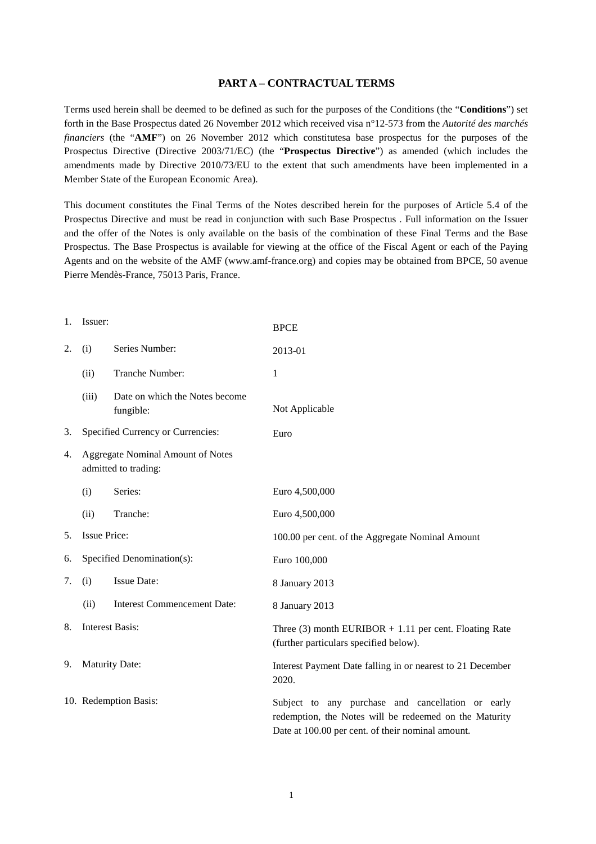#### **PART A – CONTRACTUAL TERMS**

Terms used herein shall be deemed to be defined as such for the purposes of the Conditions (the "**Conditions**") set forth in the Base Prospectus dated 26 November 2012 which received visa n°12-573 from the *Autorité des marchés financiers* (the "**AMF**") on 26 November 2012 which constitutesa base prospectus for the purposes of the Prospectus Directive (Directive 2003/71/EC) (the "**Prospectus Directive**") as amended (which includes the amendments made by Directive 2010/73/EU to the extent that such amendments have been implemented in a Member State of the European Economic Area).

This document constitutes the Final Terms of the Notes described herein for the purposes of Article 5.4 of the Prospectus Directive and must be read in conjunction with such Base Prospectus . Full information on the Issuer and the offer of the Notes is only available on the basis of the combination of these Final Terms and the Base Prospectus. The Base Prospectus is available for viewing at the office of the Fiscal Agent or each of the Paying Agents and on the website of the AMF (www.amf-france.org) and copies may be obtained from BPCE, 50 avenue Pierre Mendès-France, 75013 Paris, France.

| 1. | Issuer:                                                          |                                             | <b>BPCE</b>                                                                                                                                                      |  |
|----|------------------------------------------------------------------|---------------------------------------------|------------------------------------------------------------------------------------------------------------------------------------------------------------------|--|
| 2. | (i)                                                              | Series Number:                              | 2013-01                                                                                                                                                          |  |
|    | (ii)                                                             | Tranche Number:                             | 1                                                                                                                                                                |  |
|    | (iii)                                                            | Date on which the Notes become<br>fungible: | Not Applicable                                                                                                                                                   |  |
| 3. |                                                                  | Specified Currency or Currencies:           | Euro                                                                                                                                                             |  |
| 4. | <b>Aggregate Nominal Amount of Notes</b><br>admitted to trading: |                                             |                                                                                                                                                                  |  |
|    | (i)                                                              | Series:                                     | Euro 4,500,000                                                                                                                                                   |  |
|    | (ii)                                                             | Tranche:                                    | Euro 4,500,000                                                                                                                                                   |  |
| 5. | <b>Issue Price:</b>                                              |                                             | 100.00 per cent. of the Aggregate Nominal Amount                                                                                                                 |  |
| 6. | Specified Denomination(s):                                       |                                             | Euro 100,000                                                                                                                                                     |  |
| 7. | (i)                                                              | <b>Issue Date:</b>                          | 8 January 2013                                                                                                                                                   |  |
|    | (ii)                                                             | <b>Interest Commencement Date:</b>          | 8 January 2013                                                                                                                                                   |  |
| 8. | <b>Interest Basis:</b>                                           |                                             | Three $(3)$ month EURIBOR + 1.11 per cent. Floating Rate<br>(further particulars specified below).                                                               |  |
| 9. | <b>Maturity Date:</b>                                            |                                             | Interest Payment Date falling in or nearest to 21 December<br>2020.                                                                                              |  |
|    | 10. Redemption Basis:                                            |                                             | Subject to any purchase and cancellation or early<br>redemption, the Notes will be redeemed on the Maturity<br>Date at 100.00 per cent. of their nominal amount. |  |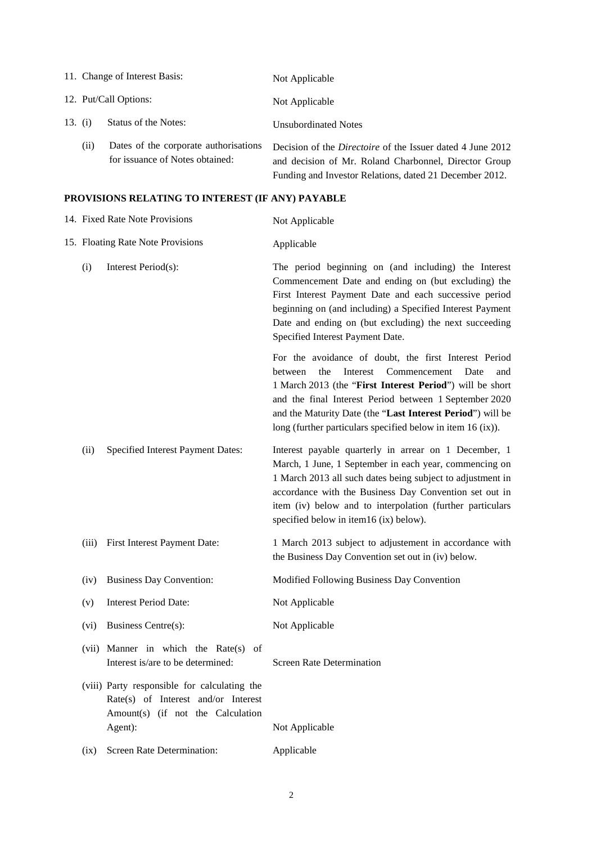|         |                       | 11. Change of Interest Basis:                                            | Not Applicable                                                                                                                                                                        |
|---------|-----------------------|--------------------------------------------------------------------------|---------------------------------------------------------------------------------------------------------------------------------------------------------------------------------------|
|         | 12. Put/Call Options: |                                                                          | Not Applicable                                                                                                                                                                        |
| 13. (i) |                       | Status of the Notes:                                                     | <b>Unsubordinated Notes</b>                                                                                                                                                           |
|         | (11)                  | Dates of the corporate authorisations<br>for issuance of Notes obtained: | Decision of the <i>Directoire</i> of the Issuer dated 4 June 2012<br>and decision of Mr. Roland Charbonnel, Director Group<br>Funding and Investor Relations, dated 21 December 2012. |

# **PROVISIONS RELATING TO INTEREST (IF ANY) PAYABLE**

|                                   |                                                                                     | Not Applicable                                                                                                                                                                                                                                                                                                                                                        |  |  |
|-----------------------------------|-------------------------------------------------------------------------------------|-----------------------------------------------------------------------------------------------------------------------------------------------------------------------------------------------------------------------------------------------------------------------------------------------------------------------------------------------------------------------|--|--|
| 15. Floating Rate Note Provisions |                                                                                     | Applicable                                                                                                                                                                                                                                                                                                                                                            |  |  |
| (i)                               | Interest Period(s):                                                                 | The period beginning on (and including) the Interest<br>Commencement Date and ending on (but excluding) the<br>First Interest Payment Date and each successive period<br>beginning on (and including) a Specified Interest Payment<br>Date and ending on (but excluding) the next succeeding<br>Specified Interest Payment Date.                                      |  |  |
|                                   |                                                                                     | For the avoidance of doubt, the first Interest Period<br>Interest<br>Commencement<br>between<br>the<br>Date<br>and<br>1 March 2013 (the "First Interest Period") will be short<br>and the final Interest Period between 1 September 2020<br>and the Maturity Date (the "Last Interest Period") will be<br>long (further particulars specified below in item 16 (ix)). |  |  |
| (ii)                              | Specified Interest Payment Dates:                                                   | Interest payable quarterly in arrear on 1 December, 1<br>March, 1 June, 1 September in each year, commencing on<br>1 March 2013 all such dates being subject to adjustment in<br>accordance with the Business Day Convention set out in<br>item (iv) below and to interpolation (further particulars<br>specified below in item16 (ix) below).                        |  |  |
| (iii)                             | First Interest Payment Date:                                                        | 1 March 2013 subject to adjustement in accordance with<br>the Business Day Convention set out in (iv) below.                                                                                                                                                                                                                                                          |  |  |
| (iv)                              | <b>Business Day Convention:</b>                                                     | Modified Following Business Day Convention                                                                                                                                                                                                                                                                                                                            |  |  |
| (v)                               | <b>Interest Period Date:</b>                                                        | Not Applicable                                                                                                                                                                                                                                                                                                                                                        |  |  |
| (vi)                              | Business Centre(s):                                                                 | Not Applicable                                                                                                                                                                                                                                                                                                                                                        |  |  |
|                                   | Interest is/are to be determined:                                                   | Screen Rate Determination                                                                                                                                                                                                                                                                                                                                             |  |  |
|                                   | Rate(s) of Interest and/or Interest<br>Amount(s) (if not the Calculation<br>Agent): | Not Applicable                                                                                                                                                                                                                                                                                                                                                        |  |  |
| (ix)                              | Screen Rate Determination:                                                          | Applicable                                                                                                                                                                                                                                                                                                                                                            |  |  |
|                                   |                                                                                     | 14. Fixed Rate Note Provisions<br>(vii) Manner in which the Rate(s) of<br>(viii) Party responsible for calculating the                                                                                                                                                                                                                                                |  |  |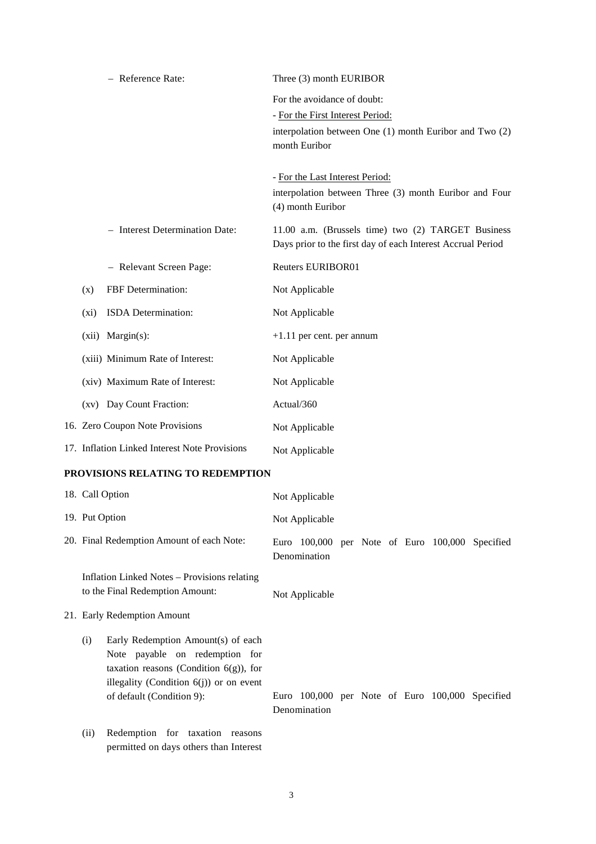|         | - Reference Rate:                                                       | Three (3) month EURIBOR                                         |
|---------|-------------------------------------------------------------------------|-----------------------------------------------------------------|
|         |                                                                         | For the avoidance of doubt:                                     |
|         |                                                                         | - For the First Interest Period:                                |
|         |                                                                         | interpolation between One (1) month Euribor and Two (2)         |
|         |                                                                         | month Euribor                                                   |
|         |                                                                         | - For the Last Interest Period:                                 |
|         |                                                                         | interpolation between Three (3) month Euribor and Four          |
|         |                                                                         | (4) month Euribor                                               |
|         | - Interest Determination Date:                                          | 11.00 a.m. (Brussels time) two (2) TARGET Business              |
|         |                                                                         | Days prior to the first day of each Interest Accrual Period     |
|         | - Relevant Screen Page:                                                 | Reuters EURIBOR01                                               |
| (x)     | FBF Determination:                                                      | Not Applicable                                                  |
| $(x_i)$ | ISDA Determination:                                                     | Not Applicable                                                  |
|         | (xii) Margin(s):                                                        | $+1.11$ per cent. per annum                                     |
|         | (xiii) Minimum Rate of Interest:                                        | Not Applicable                                                  |
|         | (xiv) Maximum Rate of Interest:                                         | Not Applicable                                                  |
|         | (xv) Day Count Fraction:                                                | Actual/360                                                      |
|         | 16. Zero Coupon Note Provisions                                         | Not Applicable                                                  |
|         | 17. Inflation Linked Interest Note Provisions                           | Not Applicable                                                  |
|         | PROVISIONS RELATING TO REDEMPTION                                       |                                                                 |
|         | 18. Call Option                                                         | Not Applicable                                                  |
|         | 19. Put Option                                                          | Not Applicable                                                  |
|         | 20. Final Redemption Amount of each Note:                               | Euro 100,000 per Note of Euro 100,000 Specified<br>Denomination |
|         | Inflation Linked Notes - Provisions relating                            |                                                                 |
|         | to the Final Redemption Amount:                                         | Not Applicable                                                  |
|         | 21. Early Redemption Amount                                             |                                                                 |
| (i)     | Early Redemption Amount(s) of each                                      |                                                                 |
|         | Note payable on redemption for                                          |                                                                 |
|         | taxation reasons (Condition $6(g)$ ), for                               |                                                                 |
|         | illegality (Condition $6(j)$ ) or on event<br>of default (Condition 9): | Euro 100,000 per Note of Euro 100,000 Specified                 |
|         |                                                                         | Denomination                                                    |
|         | Redemption for taxation reasons                                         |                                                                 |
| (ii)    | permitted on days others than Interest                                  |                                                                 |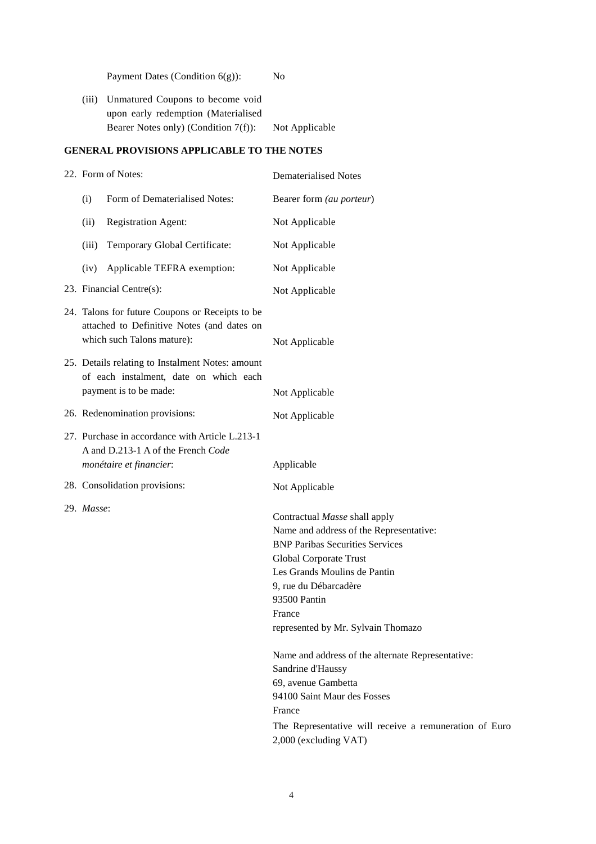Payment Dates (Condition 6(g)): No

| (iii) | Unmatured Coupons to become void     |                |
|-------|--------------------------------------|----------------|
|       | upon early redemption (Materialised  |                |
|       | Bearer Notes only) (Condition 7(f)): | Not Applicable |

## **GENERAL PROVISIONS APPLICABLE TO THE NOTES**

| 22. Form of Notes:                                                                                                          |                                                                                                                  | <b>Dematerialised Notes</b>                                                                                                                                                                                                                                           |  |  |
|-----------------------------------------------------------------------------------------------------------------------------|------------------------------------------------------------------------------------------------------------------|-----------------------------------------------------------------------------------------------------------------------------------------------------------------------------------------------------------------------------------------------------------------------|--|--|
| (i)                                                                                                                         | Form of Dematerialised Notes:                                                                                    | Bearer form (au porteur)                                                                                                                                                                                                                                              |  |  |
| (ii)                                                                                                                        | <b>Registration Agent:</b>                                                                                       | Not Applicable                                                                                                                                                                                                                                                        |  |  |
| (iii)                                                                                                                       | Temporary Global Certificate:                                                                                    | Not Applicable                                                                                                                                                                                                                                                        |  |  |
| (iv)                                                                                                                        | Applicable TEFRA exemption:                                                                                      | Not Applicable                                                                                                                                                                                                                                                        |  |  |
|                                                                                                                             | 23. Financial Centre(s):                                                                                         | Not Applicable                                                                                                                                                                                                                                                        |  |  |
| 24. Talons for future Coupons or Receipts to be<br>attached to Definitive Notes (and dates on<br>which such Talons mature): |                                                                                                                  | Not Applicable                                                                                                                                                                                                                                                        |  |  |
| 25. Details relating to Instalment Notes: amount<br>of each instalment, date on which each<br>payment is to be made:        |                                                                                                                  | Not Applicable                                                                                                                                                                                                                                                        |  |  |
|                                                                                                                             | 26. Redenomination provisions:                                                                                   | Not Applicable                                                                                                                                                                                                                                                        |  |  |
|                                                                                                                             | 27. Purchase in accordance with Article L.213-1<br>A and D.213-1 A of the French Code<br>monétaire et financier: | Applicable                                                                                                                                                                                                                                                            |  |  |
|                                                                                                                             | 28. Consolidation provisions:                                                                                    | Not Applicable                                                                                                                                                                                                                                                        |  |  |
| 29. Masse:                                                                                                                  |                                                                                                                  | Contractual Masse shall apply<br>Name and address of the Representative:<br><b>BNP Paribas Securities Services</b><br>Global Corporate Trust<br>Les Grands Moulins de Pantin<br>9, rue du Débarcadère<br>93500 Pantin<br>France<br>represented by Mr. Sylvain Thomazo |  |  |
|                                                                                                                             |                                                                                                                  | Name and address of the alternate Representative:<br>Sandrine d'Haussy<br>69, avenue Gambetta<br>94100 Saint Maur des Fosses<br>France<br>The Representative will receive a remuneration of Euro<br>2,000 (excluding VAT)                                             |  |  |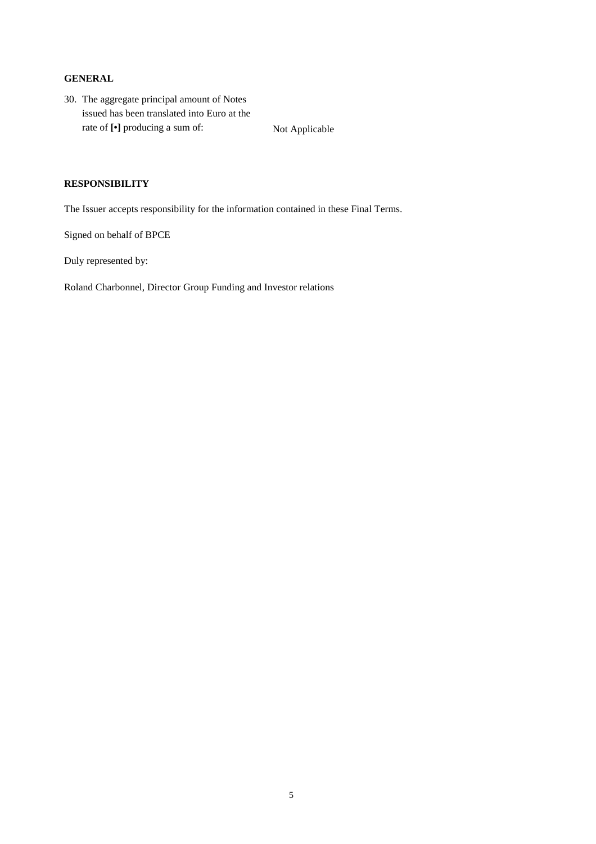### **GENERAL**

30. The aggregate principal amount of Notes issued has been translated into Euro at the rate of  $[\cdot]$  producing a sum of: Not Applicable

### **RESPONSIBILITY**

The Issuer accepts responsibility for the information contained in these Final Terms.

Signed on behalf of BPCE

Duly represented by:

Roland Charbonnel, Director Group Funding and Investor relations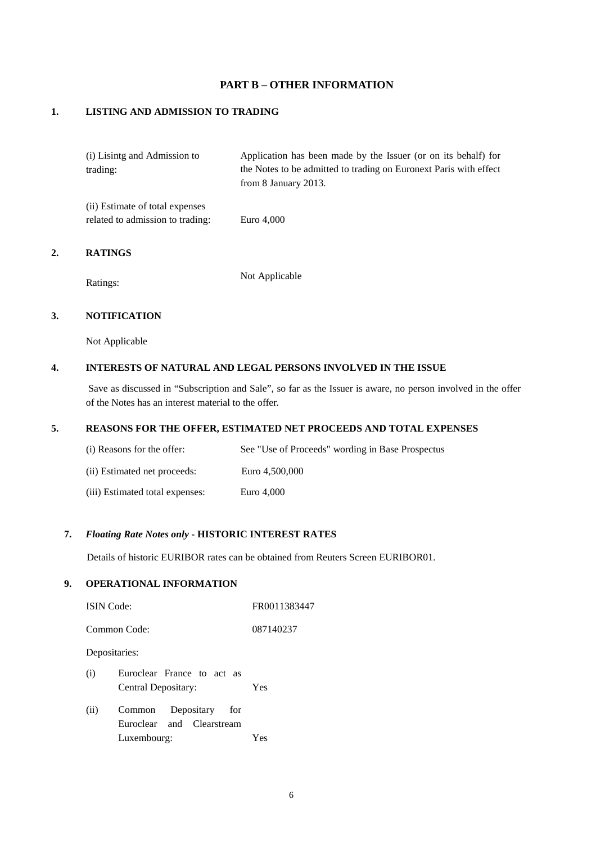## **PART B – OTHER INFORMATION**

#### **1. LISTING AND ADMISSION TO TRADING**

| (i) Lisintg and Admission to    | Application has been made by the Issuer (or on its behalf) for    |
|---------------------------------|-------------------------------------------------------------------|
| trading:                        | the Notes to be admitted to trading on Euronext Paris with effect |
|                                 | from 8 January 2013.                                              |
| (ii) Estimate of total expenses |                                                                   |

related to admission to trading: Euro 4,000

### **2. RATINGS**

Ratings: Not Applicable

## **3. NOTIFICATION**

Not Applicable

## **4. INTERESTS OF NATURAL AND LEGAL PERSONS INVOLVED IN THE ISSUE**

Save as discussed in "Subscription and Sale", so far as the Issuer is aware, no person involved in the offer of the Notes has an interest material to the offer.

#### **5. REASONS FOR THE OFFER, ESTIMATED NET PROCEEDS AND TOTAL EXPENSES**

| (i) Reasons for the offer:      | See "Use of Proceeds" wording in Base Prospectus |
|---------------------------------|--------------------------------------------------|
| (ii) Estimated net proceeds:    | Euro 4.500,000                                   |
| (iii) Estimated total expenses: | Euro 4.000                                       |

## **7.** *Floating Rate Notes only* **- HISTORIC INTEREST RATES**

Details of historic EURIBOR rates can be obtained from Reuters Screen EURIBOR01.

#### **9. OPERATIONAL INFORMATION**

| <b>ISIN</b> Code: |                                                                         | FR0011383447 |
|-------------------|-------------------------------------------------------------------------|--------------|
|                   | Common Code:                                                            | 087140237    |
| Depositaries:     |                                                                         |              |
| (i)               | Euroclear France to act as<br>Central Depositary:                       | Yes          |
| (ii)              | Depositary<br>Common<br>for<br>Euroclear and Clearstream<br>Luxembourg: | Yes          |